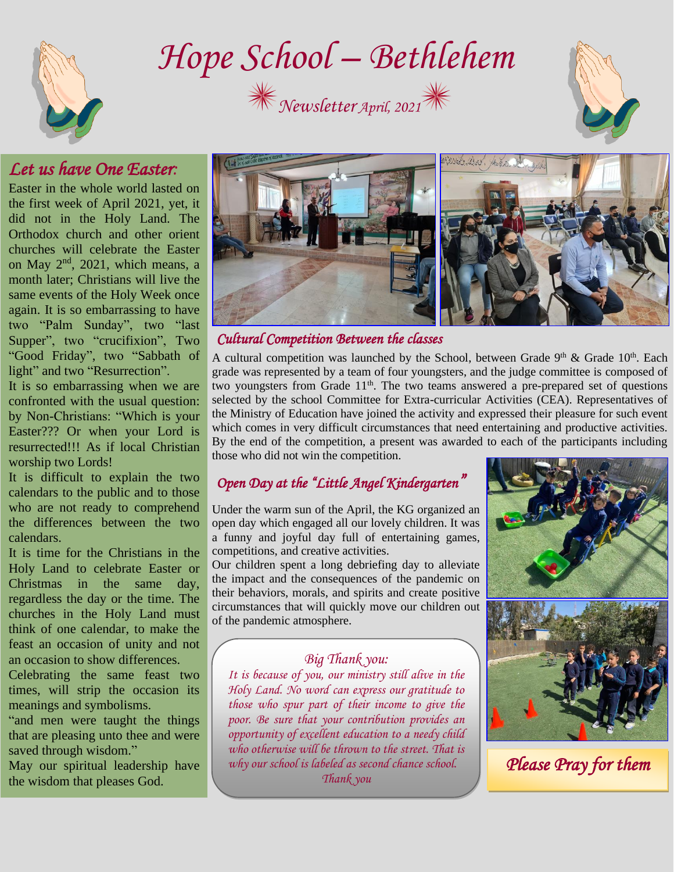

*Hope School – Bethlehem* 





# *Let us have One Easter:*

Easter in the whole world lasted on the first week of April 2021, yet, it did not in the Holy Land. The Orthodox church and other orient churches will celebrate the Easter on May 2nd, 2021, which means, a month later; Christians will live the same events of the Holy Week once again. It is so embarrassing to have two "Palm Sunday", two "last Supper", two "crucifixion", Two "Good Friday", two "Sabbath of light" and two "Resurrection".

It is so embarrassing when we are confronted with the usual question: by Non-Christians: "Which is your Easter??? Or when your Lord is resurrected!!! As if local Christian worship two Lords!

It is difficult to explain the two calendars to the public and to those who are not ready to comprehend the differences between the two calendars.

It is time for the Christians in the Holy Land to celebrate Easter or Christmas in the same day, regardless the day or the time. The churches in the Holy Land must think of one calendar, to make the feast an occasion of unity and not an occasion to show differences.

Celebrating the same feast two times, will strip the occasion its meanings and symbolisms.

"and men were taught the things that are pleasing unto thee and were saved through wisdom."

May our spiritual leadership have the wisdom that pleases God.



### *Cultural Competition Between the classes*

A cultural competition was launched by the School, between Grade  $9<sup>th</sup>$  & Grade  $10<sup>th</sup>$ . Each grade was represented by a team of four youngsters, and the judge committee is composed of two youngsters from Grade  $11<sup>th</sup>$ . The two teams answered a pre-prepared set of questions selected by the school Committee for Extra-curricular Activities (CEA). Representatives of the Ministry of Education have joined the activity and expressed their pleasure for such event which comes in very difficult circumstances that need entertaining and productive activities. By the end of the competition, a present was awarded to each of the participants including those who did not win the competition.

## *Open Day at the "Little Angel Kindergarten"*

Under the warm sun of the April, the KG organized an open day which engaged all our lovely children. It was a funny and joyful day full of entertaining games, competitions, and creative activities.

Our children spent a long debriefing day to alleviate the impact and the consequences of the pandemic on their behaviors, morals, and spirits and create positive circumstances that will quickly move our children out of the pandemic atmosphere.

#### *Big Thank you:*

*It is because of you, our ministry still alive in the Holy Land. No word can express our gratitude to those who spur part of their income to give the poor. Be sure that your contribution provides an opportunity of excellent education to a needy child who otherwise will be thrown to the street. That is why our school is labeled as second chance school. Thank you*



*Please Pray for them*